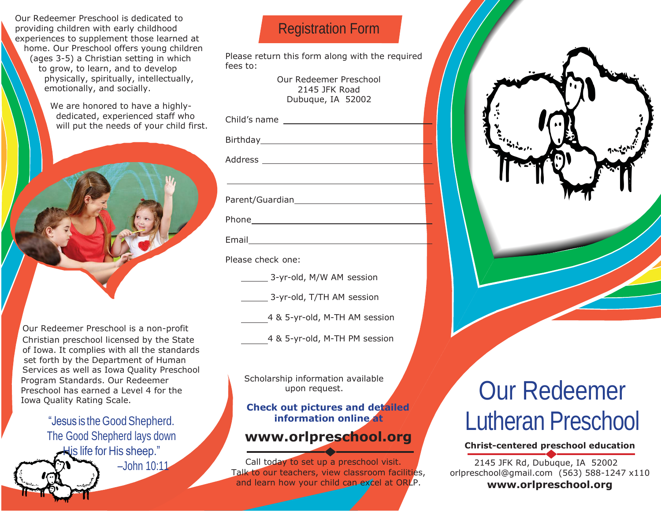Our Redeemer Preschool is dedicated to providing children with early childhood experiences to supplement those learned at home. Our Preschool offers young children (ages 3-5) a Christian setting in which to grow, to learn, and to develop physically, spiritually, intellectually, emotionally, and socially.

> We are honored to have a highlydedicated, experienced staff who will put the needs of your child first.



 Our Redeemer Preschool is a non-profit Christian preschool licensed by the State 4 & 5-yr-old, M-TH PM session of Iowa. It complies with all the standards set forth by the Department of Human Services as well as Iowa Quality Preschool Program Standards. Our Redeemer Preschool has earned a Level 4 for the Iowa Quality Rating Scale.

"Jesus is the GoodShepherd. The Good Shepherd lays down His life for His sheep." –John 10:11

## Registration Form

Please return this form along with the required fees to:

> Our Redeemer Preschool 2145 JFK Road Dubuque, IA 52002

Birthday **Birthday** 

Address

Parent/Guardian

| ۹. |
|----|
|----|

Email

Please check one:

3-yr-old, M/W AM session

3-yr-old, T/TH AM session

4 & 5-yr-old, M-TH AM session

Scholarship information available upon request.

#### **Check out pictures and detailed information online at**

### **[www.orlpreschool.org](http://www.orlpreschool.org/)**

Call today to set up a preschool visit. Talk to our teachers, view classroom facilities, and learn how your child can excel at ORLP.

# Our Redeemer Lutheran Preschool

#### **Christ-centered preschool education**

2145 JFK Rd, Dubuque, IA 52002 [orlpreschool@gmail.com](mailto:orlpreschool@gmail.com) (563) 588-1247 x110 **[www.orlpreschool.org](http://www.orlpreschool.org/)**